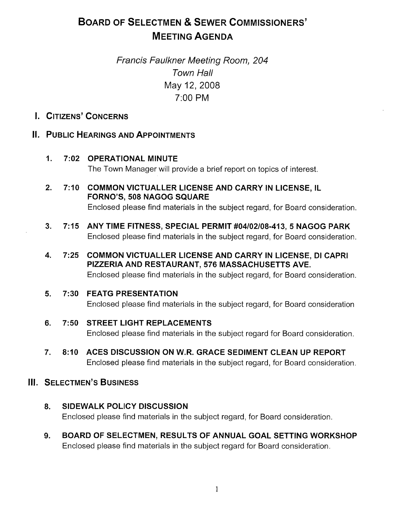# BOARD OF SELECTMEN & SEWER COMMISSIONERS' MEETING AGENDA

# Francis Faulkner Meeting Room, 204 Town Hall May 12, 2008 7:00 PM

# I. CITIZENS' CONCERNS

# II. PUBLIC HEARINGS AND APPOINTMENTS

- 1. 7:02 OPERATIONAL MINUTE The Town Manager will provide a brief report on topics of interest.
- 2. 7:10 COMMON VICTUALLER LICENSE AND CARRY IN LICENSE, IL FORNO'S, 508 NAGOG SQUARE Enclosed please find materials in the subject regard, for Board consideration.
- 3. 7:15 ANYTIME FITNESS, SPECIAL PERMIT #04102/08-413, 5 NAGOG PARK Enclosed please find materials in the subject regard, for Board consideration.
- 4. 7:25 COMMON VICTUALLER LICENSE AND CARRY IN LICENSE, DI CAPRI PIZZERIA AND RESTAURANT, 576 MASSACHUSETTS AVE. Enclosed please find materials in the subject regard, for Board consideration.

### 5. 7:30 FEATG PRESENTATION

Enclosed please find materials in the subject regard, for Board consideration

- 6. 7:50 STREET LIGHT REPLACEMENTS Enclosed please find materials in the subject regard for Board consideration.
- 7. 8:10 ACES DISCUSSION ON W.R. GRACE SEDIMENT CLEAN UP REPORT Enclosed please find materials in the subject regard, for Board consideration.

# **III. SELECTMEN'S BUSINESS**

- 8. SIDEWALK POLICY DISCUSSION Enclosed please find materials in the subject regard, for Board consideration.
- 9. BOARD OF SELECTMEN, RESULTS OF ANNUAL GOAL SETTING WORKSHOP Enclosed please find materials in the subject regard for Board consideration.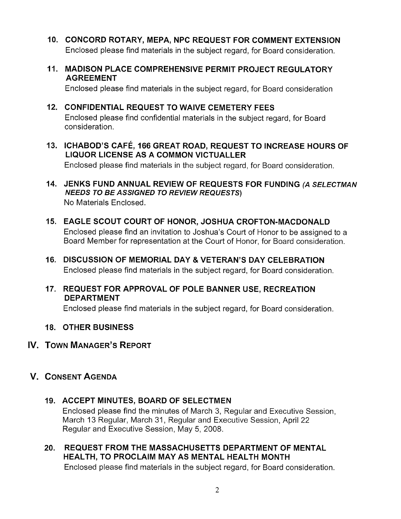- 10. CONCORD ROTARY, MEPA, NPC REQUEST FOR COMMENT EXTENSION Enclosed please find materials in the subject regard, for Board consideration.
- 11. MADISON PLACE COMPREHENSIVE PERMIT PROJECT REGULATORY AGREEMENT

Enclosed please find materials in the subject regard, for Board consideration

- 12. CONFIDENTIAL REQUEST TO WAIVE CEMETERY FEES Enclosed please find confidential materials in the subject regard, for Board consideration.
- 13. ICHABOD'S CAFÉ, 166 GREAT ROAD, REQUEST TO INCREASE HOURS OF LIQUOR LICENSE AS A COMMON VICTUALLER Enclosed please find materials in the subject regard, for Board consideration.
- 14. JENKS FUND ANNUAL REVIEW OF REQUESTS FOR FUNDING (A SELECTMAN NEEDS TO BE ASSIGNED TO REVIEW REQUESTS) No Materials Enclosed.
- 15. EAGLE SCOUT COURT OF HONOR, JOSHUA CROFTON-MACDONALD Enclosed please find an invitation to Joshua's Court of Honor to be assigned to a Board Member for representation at the Court of Honor, for Board consideration.
- 16. DISCUSSION OF MEMORIAL DAY & VETERAN'S DAY CELEBRATION Enclosed please find materials in the subject regard, for Board consideration.
- 17. REQUEST FOR APPROVAL OF POLE BANNER USE, RECREATION DEPARTMENT

Enclosed please find materials in the subject regard, for Board consideration.

- 18. OTHER BUSINESS
- IV. TOWN MANAGER'S REPORT
- V. CONSENT AGENDA
	- 19. ACCEPT MINUTES, BOARD OF SELECTMEN Enclosed please find the minutes of March 3, Regular and Executive Session, March 13 Regular, March 31, Regular and Executive Session, April 22 Regular and Executive Session, May 5, 2008.
	- 20. REQUEST FROM THE MASSACHUSETTS DEPARTMENT OF MENTAL HEALTH, TO PROCLAIM MAY AS MENTAL HEALTH MONTH Enclosed please find materials in the subject regard, for Board consideration.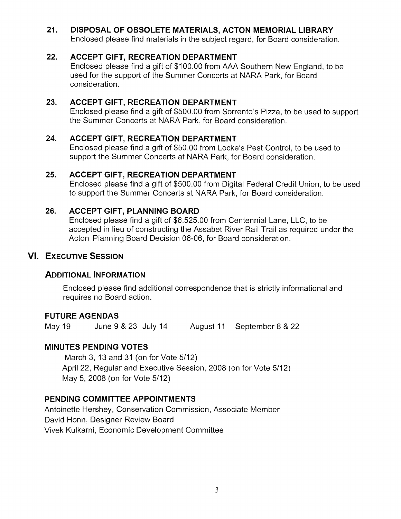# 21. DISPOSAL OF OBSOLETE MATERIALS, ACTON MEMORIAL LIBRARY

Enclosed please find materials in the subject regard, for Board consideration.

### 22. ACCEPT GIFT, RECREATION DEPARTMENT

Enclosed please find a gift of \$100.00 from AAA Southern New England, to be used for the support of the Summer Concerts at NARA Park, for Board consideration.

# 23. ACCEPT GIFT, RECREATION DEPARTMENT

Enclosed please find a gift of \$500.00 from Sorrento's Pizza, to be used to support the Summer Concerts at NARA Park, for Board consideration.

### 24. ACCEPT GIFT, RECREATION DEPARTMENT

Enclosed please find a gift of \$50.00 from Locke's Pest Control, to be used to support the Summer Concerts at NARA Park, for Board consideration.

### 25. ACCEPT GIFT, RECREATION DEPARTMENT

Enclosed please find a gift of \$500.00 from Digital Federal Credit Union, to be used to support the Summer Concerts at NARA Park, for Board consideration.

# 26. ACCEPT GIFT, PLANNING BOARD

Enclosed please find a gift of \$6,525.00 from Centennial Lane, LLC, to be accepted in lieu of constructing the Assabet River Rail Trail as required under the Acton Planning Board Decision 06-06, for Board consideration.

# VI. EXECUTIVE SESSION

# ADDITIONAL INFORMATION

Enclosed please find additional correspondence that is strictly informational and requires no Board action.

# FUTURE AGENDAS

May 19 June 9 & 23 July 14 August <sup>11</sup> September 8 & 22

# MINUTES PENDING VOTES

March 3, 13 and 31 (on for Vote 5/12) April 22, Regular and Executive Session, 2008 (on for Vote 5/12) May 5, 2008 (on for Vote 5/12)

# PENDING COMMITTEE APPOINTMENTS

Antoinette Hershey, Conservation Commission, Associate Member David Honn, Designer Review Board Vivek Kulkarni, Economic Development Committee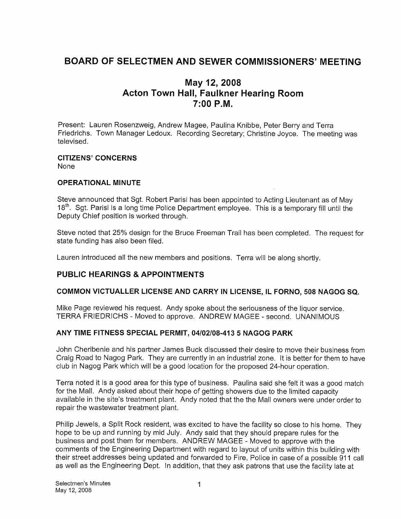# BOARD OF SELECTMEN AND SEWER COMMISSIONERS' MEETING

# May 12, 2008 Acton Town Hall, Faulkner Hearing Room 7:00 P.M.

Present: Lauren Rosenzweig, Andrew Magee, Paulina Knibbe, Peter Berry and Terra Friedrichs. Town Manager Ledoux. Recording Secretary; Christine Joyce. The meeting was televised.

#### CITIZENS' CONCERNS None

#### OPERATIONAL MINUTE

Steve announced that Sgt. Robert Parisi has been appointed to Acting Lieutenant as of May 18<sup>th</sup>. Sgt. Parisi is a long time Police Department employee. This is a temporary fill until the Deputy Chief position is worked through.

Steve noted that 25% design for the Bruce Freeman Trail has been completed. The request for state funding has also been filed.

Lauren introduced all the new members and positions. Terra will be along shortly.

### PUBLIC HEARINGS & APPOINTMENTS

#### COMMON VICTUALLER LICENSE AND CARRY IN LICENSE, IL FORNO, 508 NAGOG SQ.

Mike Page reviewed his request. Andy spoke about the seriousness of the liquor service. TERRA FRIEDRICHS - Moved to approve. ANDREW MAGEE - second. UNANIMOUS

#### ANY TIME FITNESS SPECIAL PERMIT, 04/02/08-413 5 NAGOG PARK

John Cheribenie and his partner James Buck discussed their desire to move their business from Craig Road to Nagog Park. They are currently in an industrial zone. It is better for them to have club in Nagog Park which will be a good location for the proposed 24-hour operation.

Terra noted it is a good area for this type of business. Paulina said she felt it was a good match for the Mall. Andy asked about their hope of getting showers due to the limited capacity available in the site's treatment plant. Andy noted that the the Mall owners were under order to repair the wastewater treatment plant.

Philip Jewels, a Split Rock resident, was excited to have the facility so close to his home. They hope to be up and running by mid July. Andy said that they should prepare rules for the business and post them for members. ANDREW MAGEE - Moved to approve with the comments of the Engineering Department with regard to layout of units within this building with their street addresses being updated and forwarded to Fire, Police in case of a possible 911 call as well as the Engineering Dept. In addition, that they ask patrons that use the facility late at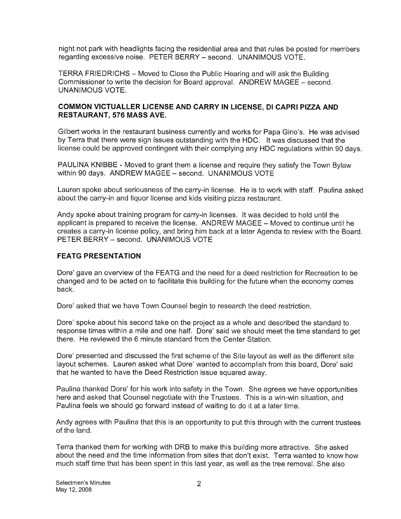night not park with headlights facing the residential area and that rules be posted for members regarding excessive noise. PETER BERRY — second. UNANIMOUS VOTE.

TERRA FRIEDRICHS — Moved to Close the Public Hearing and will ask the Building Commissioner to write the decision for Board approval. ANDREW MAGEE — second. UNANIMOUS VOTE.

#### COMMON VICTUALLER LICENSE AND CARRY IN LICENSE, DI CAPRI PIZZA AND RESTAURANT, 576 MASS AVE.

Gilbert works in the restaurant business currently and works for Papa Gino's. He was advised by Terra that there were sign issues outstanding with the HDC. It was discussed that the license could be approved contingent with their complying any HDC regulations within 90 days.

PAULINA KNIBBE - Moved to grant them a license and require they satisfy the Town Bylaw within 90 days. ANDREW MAGEE — second. UNANIMOUS VOTE

Lauren spoke about seriousness of the carry-in license. He is to work with staff. Paulina asked about the carry-in and liquor license and kids visiting pizza restaurant.

Andy spoke about training program for carry-in licenses. It was decided to hold until the applicant is prepared to receive the license. ANDREW MAGEE — Moved to continue until he creates a carry-in license policy, and bring him back at a later Agenda to review with the Board. PETER BERRY — second. UNANIMOUS VOTE

#### FEATG PRESENTATION

Dore' gave an overview of the FEATG and the need for a deed restriction for Recreation to be changed and to be acted on to facilitate this building for the future when the economy comes back.

Dore' asked that we have Town Counsel begin to research the deed restriction.

Dore' spoke about his second take on the project as a whole and described the standard to response times within a mile and one half. Dore' said we should meet the time standard to get there. He reviewed the 6 minute standard from the Center Station.

Dore' presented and discussed the first scheme of the Site layout as well as the different site layout schemes. Lauren asked what Dore' wanted to accomplish from this board, Dore' said that he wanted to have the Deed Restriction issue squared away.

Paulina thanked Dore' for his work into safety in the Town. She agrees we have opportunities here and asked that Counsel negotiate with the Trustees. This is a win-win situation, and Paulina feels we should go forward instead of waiting to do it at a later time.

Andy agrees with Paulina that this is an opportunity to put this through with the current trustees of the land.

Terra thanked them for working with DRB to make this building more attractive. She asked about the need and the time information from sites that don't exist. Terra wanted to know how much staff time that has been spent in this last year, as well as the tree removal. She also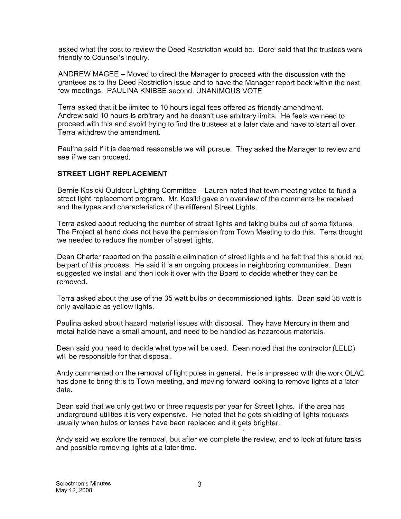asked what the cost to review the Deed Restriction would be. Dore' said that the trustees were friendly to Counsel's inquiry.

ANDREW MAGEE — Moved to direct the Manager to proceed with the discussion with the grantees as to the Deed Restriction issue and to have the Manager report back within the next few meetings. PAULINA KNIBBE second. UNANIMOUS VOTE

Terra asked that it be limited to 10 hours legal fees offered as friendly amendment. Andrew said 10 hours is arbitrary and he doesn't use arbitrary limits. He feels we need to proceed with this and avoid trying to find the trustees at a later date and have to start all over. Terra withdrew the amendment.

Paulina said if it is deemed reasonable we will pursue. They asked the Manager to review and see if we can proceed.

#### STREET LIGHT REPLACEMENT

Bernie Kosicki Outdoor Lighting Committee — Lauren noted that town meeting voted to fund a street light replacement program. Mr. Kosiki gave an overview of the comments he received and the types and characteristics of the different Street Lights.

Terra asked about reducing the number of street lights and taking bulbs out of some fixtures. The Project at hand does not have the permission from Town Meeting to do this. Terra thought we needed to reduce the number of street lights.

Dean Charter reported on the possible elimination of street lights and he felt that this should not be part of this process. He said it is an ongoing process in neighboring communities. Dean suggested we install and then look it over with the Board to decide whether they can be removed.

Terra asked about the use of the 35 watt bulbs or decommissioned lights. Dean said 35 watt is only available as yellow lights.

Paulina asked about hazard material issues with disposal. They have Mercury in them and metal halide have a small amount, and need to be handled as hazardous materials.

Dean said you need to decide what type will be used. Dean noted that the contractor (LELD) will be responsible for that disposal.

Andy commented on the removal of light poles in general. He is impressed with the work OLAC has done to bring this to Town meeting, and moving forward looking to remove lights at a later date.

Dean said that we only get two or three requests per year for Street lights. If the area has underground utilities it is very expensive. He noted that he gets shielding of lights requests usually when bulbs or lenses have been replaced and it gets brighter.

Andy said we explore the removal, but after we complete the review, and to look at future tasks and possible removing lights at a later time.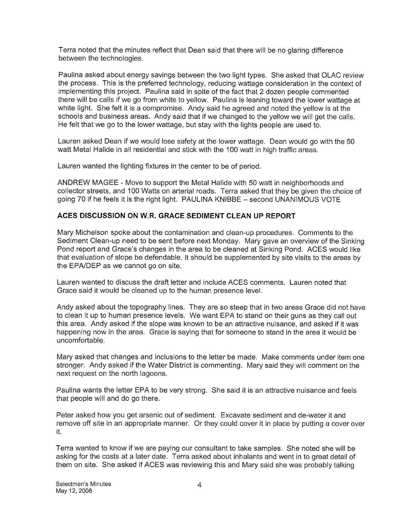Terra noted that the minutes reflect that Dean said that there will be no glaring difference between the technologies.

Paulina asked about energy savings between the two light types. She asked that OLAC review the process. This is the preferred technology, reducing wattage consideration in the context of implementing this project. Paulina said in spite of the fact that 2 dozen people commented there will be calls if we go from white to yellow. Paulina is leaning toward the lower wattage at white light. She felt it is a compromise. Andy said he agreed and noted the yellow is at the schools and business areas. Andy said that if we changed to the yellow we will get the calls. He felt that we go to the lower wattage, but stay with the lights people are used to.

Lauren asked Dean if we would lose safety at the lower wattage. Dean would go with the 50 watt Metal Halide in all residential and stick with the 100 watt in high traffic areas.

Lauren wanted the lighting fixtures in the center to be of period.

ANDREW MAGEE - Move to support the Metal Halide with 50 watt in neighborhoods and collector streets, and 100 Watts on arterial roads. Terra asked that they be given the choice of going 70 if he feels it is the right light. PAULINA KNIBBE — second UNANIMOUS VOTE

#### ACES DISCUSSION ON W.R. GRACE SEDIMENT CLEAN UP REPORT

Mary Michelson spoke about the contamination and clean-up procedures. Comments to the Sediment Clean-up need to be sent before next Monday. Mary gave an overview of the Sinking Pond report and Grace's changes in the area to be cleaned at Sinking Pond. ACES would like that evaluation of slope be defendable. It should be supplemented by site visits to the areas by the EPNDEP as we cannot go on site.

Lauren wanted to discuss the draft letter and include ACES comments. Lauren noted that Grace said it would be cleaned up to the human presence level.

Andy asked about the topography lines. They are so steep that in two areas Grace did not have to clean it up to human presence levels. We want EPA to stand on their guns as they call out this area. Andy asked if the slope was known to be an attractive nuisance, and asked if it was happening now in the area. Grace is saying that for someone to stand in the area it would be uncomfortable.

Mary asked that changes and inclusions to the letter be made. Make comments under item one stronger. Andy asked if the Water District is commenting. Mary said they will comment on the next request on the north lagoons.

Paulina wants the letter EPA to be very strong. She said it is an attractive nuisance and feels that people will and do go there.

Peter asked how you get arsenic out of sediment. Excavate sediment and de-water it and remove off site in an appropriate manner. Or they could cover it in place by putting a cover over it.

Terra wanted to know if we are paying our consultant to take samples. She noted she will be asking for the costs at a later date. Terra asked about inhalants and went in to great detail of them on site. She asked if ACES was reviewing this and Mary said she was probably talking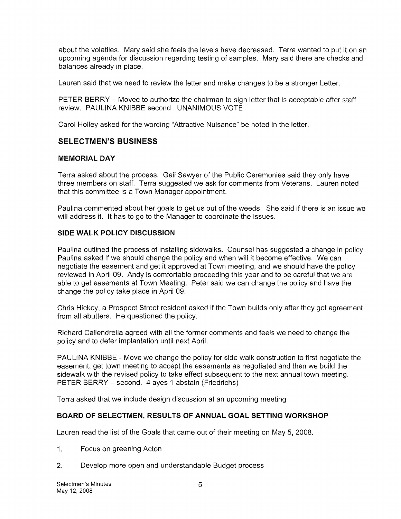about the volatiles. Mary said she feels the levels have decreased. Terra wanted to put it on an upcoming agenda for discussion regarding testing of samples. Mary said there are checks and balances already in place.

Lauren said that we need to review the letter and make changes to be a stronger Letter.

PETER BERRY — Moved to authorize the chairman to sign letter that is acceptable after staff review. PAULINA KNIBBE second. UNANIMOUS VOTE

Carol Holley asked for the wording "Attractive Nuisance" be noted in the letter.

#### SELECTMEN'S BUSINESS

#### MEMORIAL DAY

Terra asked about the process. Gail Sawyer of the Public Ceremonies said they only have three members on staff. Terra suggested we ask for comments from Veterans. Lauren noted that this committee is a Town Manager appointment.

Paulina commented about her goals to get us out of the weeds. She said if there is an issue we will address it. It has to go to the Manager to coordinate the issues.

### SIDE WALK POLICY DISCUSSION

Paulina outlined the process of installing sidewalks. Counsel has suggested a change in policy. Paulina asked if we should change the policy and when will it become effective. We can negotiate the easement and get it approved at Town meeting, and we should have the policy reviewed in April 09. Andy is comfortable proceeding this year and to be careful that we are able to get easements at Town Meeting. Peter said we can change the policy and have the change the policy take place in April 09.

Chris Hickey, a Prospect Street resident asked if the Town builds only after they get agreement from all abutters. He questioned the policy.

Richard Callendrella agreed with all the former comments and feels we need to change the policy and to defer implantation until next April.

PAULINA KNIBBE - Move we change the policy for side walk construction to first negotiate the easement, get town meeting to accept the easements as negotiated and then we build the sidewalk with the revised policy to take effect subsequent to the next annual town meeting. PETER BERRY — second. 4 ayes <sup>1</sup> abstain (Friedrichs)

Terra asked that we include design discussion at an upcoming meeting

#### BOARD OF SELECTMEN, RESULTS OF ANNUAL GOAL SETTING WORKSHOP

Lauren read the list of the Goals that came out of their meeting on May 5, 2008.

- 1. Focus on greening Acton
- 2. Develop more open and understandable Budget process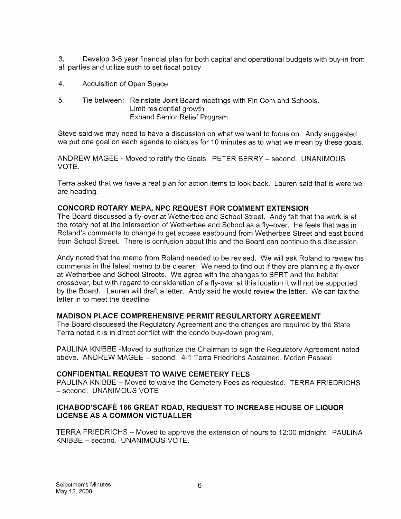3. Develop 3-5 year financial plan for both capital and operational budgets with buy-in from all parties and utilize such to set fiscal policy

- 4. Acquisition of Open Space
- 5. Tie between: Reinstate Joint Board meetings with Fin Com and Schools. Limit residential growth Expand Senior Relief Program

Steve said we may need to have a discussion on what we want to focus on. Andy suggested we put one goal on each agenda to discuss for 10 minutes as to what we mean by these goals.

ANDREW MAGEE - Moved to ratify the Goals. PETER BERRY — second. UNANIMOUS VOTE.

Terra asked that we have a real plan for action items to look back. Lauren said that is were we are heading.

#### CONCORD ROTARY MEPA, NPC REQUEST FOR COMMENT EXTENSION

The Board discussed a fly-over at Wetherbee and School Street. Andy felt that the work is at the rotary not at the intersection of Wetherbee and School as a fly—over. He feels that was in Roland's comments to change to get access eastbound from Wetherbee Street and east bound from School Street. There is confusion about this and the Board can continue this discussion.

Andy noted that the memo from Roland needed to be revised. We will ask Roland to review his comments in the latest memo to be clearer. We need to find out if they are planning a fly-over at Wetherbee and School Streets. We agree with the changes to BFRT and the habitat crossover, but with regard to consideration of a fly-over at this location it will not be supported by the Board. Lauren will draft a letter. Andy said he would review the letter. We can fax the letter in to meet the deadline.

#### MADISON PLACE COMPREHENSIVE PERMIT REGULARTORY AGREEMENT

The Board discussed the Regulatory Agreement and the changes are required by the State Terra noted it is in direct conflict with the condo buy-down program.

PAULINA KNIBBE -Moved to authorize the Chairman to sign the Regulatory Agreement noted above. ANDREW MAGEE — second. 4-iTerra Friedrichs Abstained. Motion Passed

#### CONFIDENTIAL REQUEST TO WAIVE CEMETERY FEES

PAULINA KNIBBE — Moved to waive the Cemetery Fees as requested. TERRA FRIEDRICHS - second. UNANIMOUS VOTE

#### ICHABOD'SCAFE 166 GREAT ROAD, REQUEST TO INCREASE HOUSE OF LIQUOR LICENSE AS A COMMON VICTUALLER

TERRA FRIEDRICHS — Moved to approve the extension of hours to 12:00 midnight. PAULINA KNIBBE — second. UNANIMOUS VOTE.